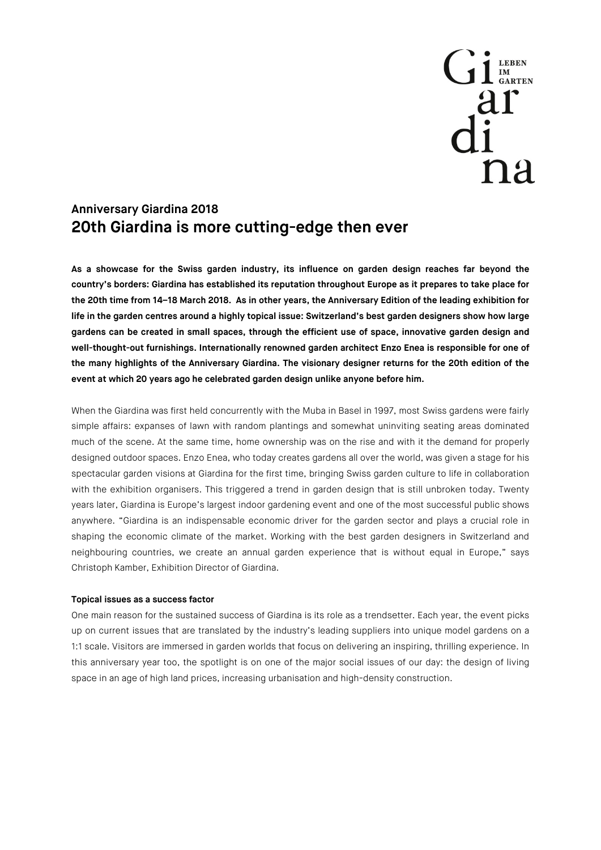# LEBEN  $d_i^{ar}$ na

# **Anniversary Giardina 2018 20th Giardina is more cutting-edge then ever**

**As a showcase for the Swiss garden industry, its influence on garden design reaches far beyond the country's borders: Giardina has established its reputation throughout Europe as it prepares to take place for the 20th time from 14–18 March 2018. As in other years, the Anniversary Edition of the leading exhibition for life in the garden centres around a highly topical issue: Switzerland's best garden designers show how large gardens can be created in small spaces, through the efficient use of space, innovative garden design and well-thought-out furnishings. Internationally renowned garden architect Enzo Enea is responsible for one of the many highlights of the Anniversary Giardina. The visionary designer returns for the 20th edition of the event at which 20 years ago he celebrated garden design unlike anyone before him.**

When the Giardina was first held concurrently with the Muba in Basel in 1997, most Swiss gardens were fairly simple affairs: expanses of lawn with random plantings and somewhat uninviting seating areas dominated much of the scene. At the same time, home ownership was on the rise and with it the demand for properly designed outdoor spaces. Enzo Enea, who today creates gardens all over the world, was given a stage for his spectacular garden visions at Giardina for the first time, bringing Swiss garden culture to life in collaboration with the exhibition organisers. This triggered a trend in garden design that is still unbroken today. Twenty years later, Giardina is Europe's largest indoor gardening event and one of the most successful public shows anywhere. "Giardina is an indispensable economic driver for the garden sector and plays a crucial role in shaping the economic climate of the market. Working with the best garden designers in Switzerland and neighbouring countries, we create an annual garden experience that is without equal in Europe," says Christoph Kamber, Exhibition Director of Giardina.

## **Topical issues as a success factor**

One main reason for the sustained success of Giardina is its role as a trendsetter. Each year, the event picks up on current issues that are translated by the industry's leading suppliers into unique model gardens on a 1:1 scale. Visitors are immersed in garden worlds that focus on delivering an inspiring, thrilling experience. In this anniversary year too, the spotlight is on one of the major social issues of our day: the design of living space in an age of high land prices, increasing urbanisation and high-density construction.